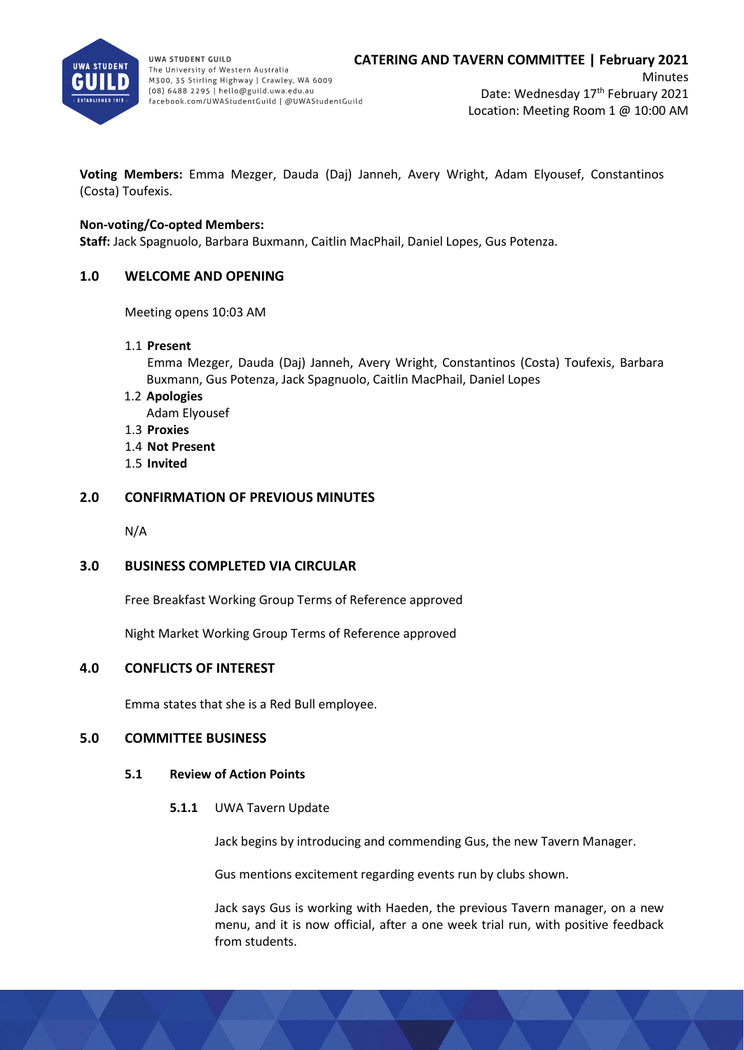

**Minutes** Date: Wednesday 17<sup>th</sup> February 2021 Location: Meeting Room 1 @ 10:00 AM

**Voting Members:** Emma Mezger, Dauda (Daj) Janneh, Avery Wright, Adam Elyousef, Constantinos (Costa) Toufexis.

# **Non-voting/Co-opted Members:**

**Staff:** Jack Spagnuolo, Barbara Buxmann, Caitlin MacPhail, Daniel Lopes, Gus Potenza.

# **1.0 WELCOME AND OPENING**

Meeting opens 10:03 AM

1.1 **Present**

Emma Mezger, Dauda (Daj) Janneh, Avery Wright, Constantinos (Costa) Toufexis, Barbara Buxmann, Gus Potenza, Jack Spagnuolo, Caitlin MacPhail, Daniel Lopes

- 1.2 **Apologies**
	- Adam Elyousef
- 1.3 **Proxies**
- 1.4 **Not Present**
- 1.5 **Invited**

# **2.0 CONFIRMATION OF PREVIOUS MINUTES**

N/A

# **3.0 BUSINESS COMPLETED VIA CIRCULAR**

Free Breakfast Working Group Terms of Reference approved

Night Market Working Group Terms of Reference approved

# **4.0 CONFLICTS OF INTEREST**

Emma states that she is a Red Bull employee.

## **5.0 COMMITTEE BUSINESS**

## **5.1 Review of Action Points**

**5.1.1** UWA Tavern Update

Jack begins by introducing and commending Gus, the new Tavern Manager.

Gus mentions excitement regarding events run by clubs shown.

Jack says Gus is working with Haeden, the previous Tavern manager, on a new menu, and it is now official, after a one week trial run, with positive feedback from students.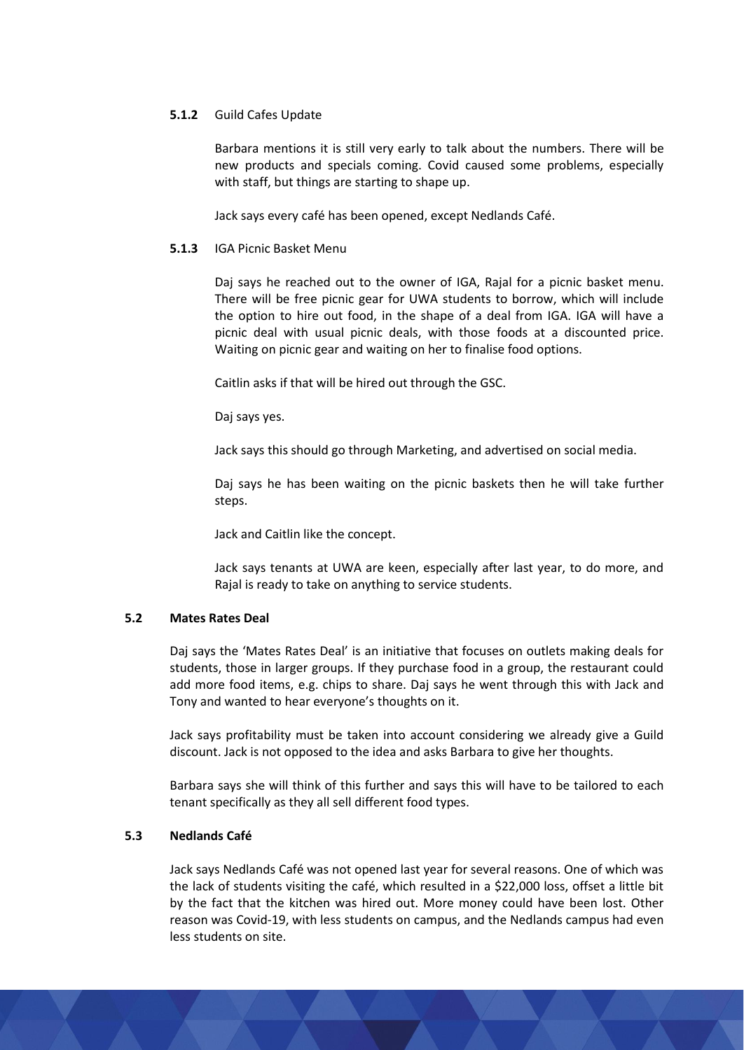# **5.1.2** Guild Cafes Update

Barbara mentions it is still very early to talk about the numbers. There will be new products and specials coming. Covid caused some problems, especially with staff, but things are starting to shape up.

Jack says every café has been opened, except Nedlands Café.

## **5.1.3** IGA Picnic Basket Menu

Daj says he reached out to the owner of IGA, Rajal for a picnic basket menu. There will be free picnic gear for UWA students to borrow, which will include the option to hire out food, in the shape of a deal from IGA. IGA will have a picnic deal with usual picnic deals, with those foods at a discounted price. Waiting on picnic gear and waiting on her to finalise food options.

Caitlin asks if that will be hired out through the GSC.

Daj says yes.

Jack says this should go through Marketing, and advertised on social media.

Daj says he has been waiting on the picnic baskets then he will take further steps.

Jack and Caitlin like the concept.

Jack says tenants at UWA are keen, especially after last year, to do more, and Rajal is ready to take on anything to service students.

# **5.2 Mates Rates Deal**

Daj says the 'Mates Rates Deal' is an initiative that focuses on outlets making deals for students, those in larger groups. If they purchase food in a group, the restaurant could add more food items, e.g. chips to share. Daj says he went through this with Jack and Tony and wanted to hear everyone's thoughts on it.

Jack says profitability must be taken into account considering we already give a Guild discount. Jack is not opposed to the idea and asks Barbara to give her thoughts.

Barbara says she will think of this further and says this will have to be tailored to each tenant specifically as they all sell different food types.

# **5.3 Nedlands Café**

Jack says Nedlands Café was not opened last year for several reasons. One of which was the lack of students visiting the café, which resulted in a \$22,000 loss, offset a little bit by the fact that the kitchen was hired out. More money could have been lost. Other reason was Covid-19, with less students on campus, and the Nedlands campus had even less students on site.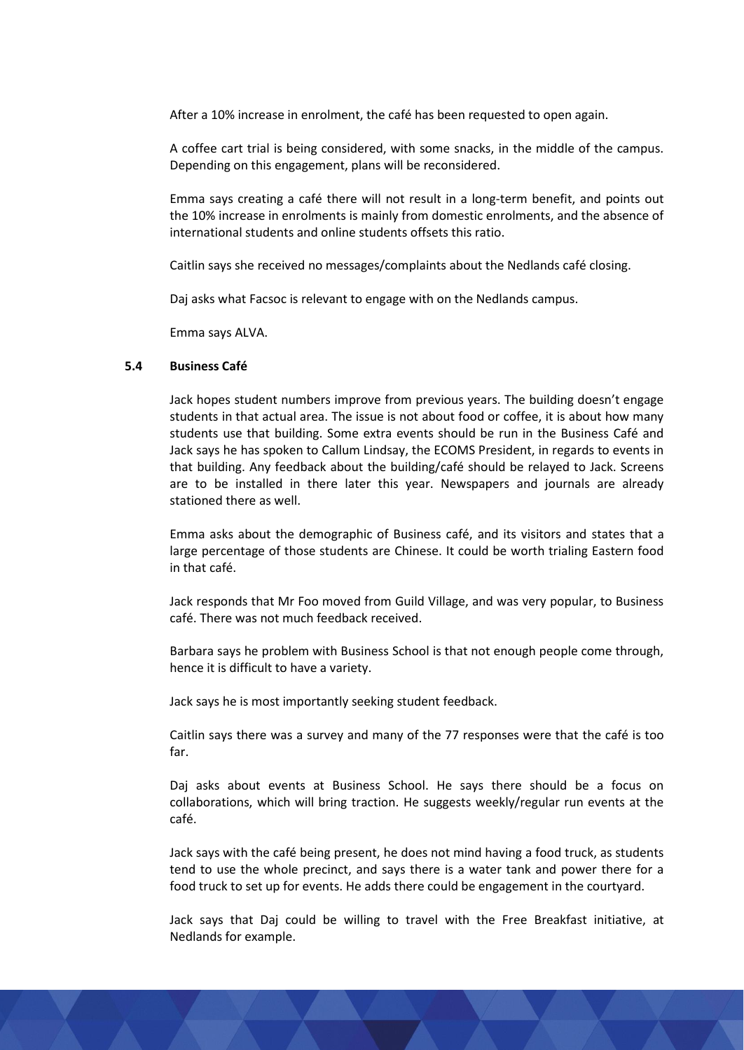After a 10% increase in enrolment, the café has been requested to open again.

A coffee cart trial is being considered, with some snacks, in the middle of the campus. Depending on this engagement, plans will be reconsidered.

Emma says creating a café there will not result in a long-term benefit, and points out the 10% increase in enrolments is mainly from domestic enrolments, and the absence of international students and online students offsets this ratio.

Caitlin says she received no messages/complaints about the Nedlands café closing.

Daj asks what Facsoc is relevant to engage with on the Nedlands campus.

Emma says ALVA.

### **5.4 Business Café**

Jack hopes student numbers improve from previous years. The building doesn't engage students in that actual area. The issue is not about food or coffee, it is about how many students use that building. Some extra events should be run in the Business Café and Jack says he has spoken to Callum Lindsay, the ECOMS President, in regards to events in that building. Any feedback about the building/café should be relayed to Jack. Screens are to be installed in there later this year. Newspapers and journals are already stationed there as well.

Emma asks about the demographic of Business café, and its visitors and states that a large percentage of those students are Chinese. It could be worth trialing Eastern food in that café.

Jack responds that Mr Foo moved from Guild Village, and was very popular, to Business café. There was not much feedback received.

Barbara says he problem with Business School is that not enough people come through, hence it is difficult to have a variety.

Jack says he is most importantly seeking student feedback.

Caitlin says there was a survey and many of the 77 responses were that the café is too far.

Daj asks about events at Business School. He says there should be a focus on collaborations, which will bring traction. He suggests weekly/regular run events at the café.

Jack says with the café being present, he does not mind having a food truck, as students tend to use the whole precinct, and says there is a water tank and power there for a food truck to set up for events. He adds there could be engagement in the courtyard.

Jack says that Daj could be willing to travel with the Free Breakfast initiative, at Nedlands for example.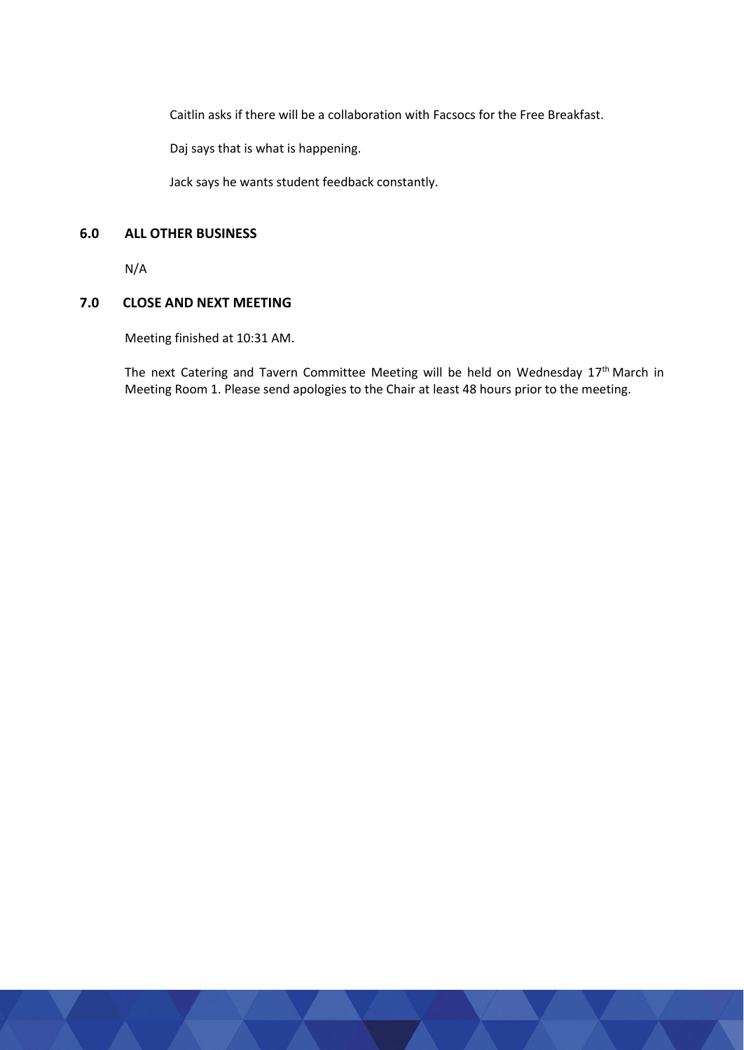Caitlin asks if there will be a collaboration with Facsocs for the Free Breakfast.

Daj says that is what is happening.

Jack says he wants student feedback constantly.

# **6.0 ALL OTHER BUSINESS**

N/A

# **7.0 CLOSE AND NEXT MEETING**

Meeting finished at 10:31 AM.

The next Catering and Tavern Committee Meeting will be held on Wednesday 17<sup>th</sup> March in Meeting Room 1. Please send apologies to the Chair at least 48 hours prior to the meeting.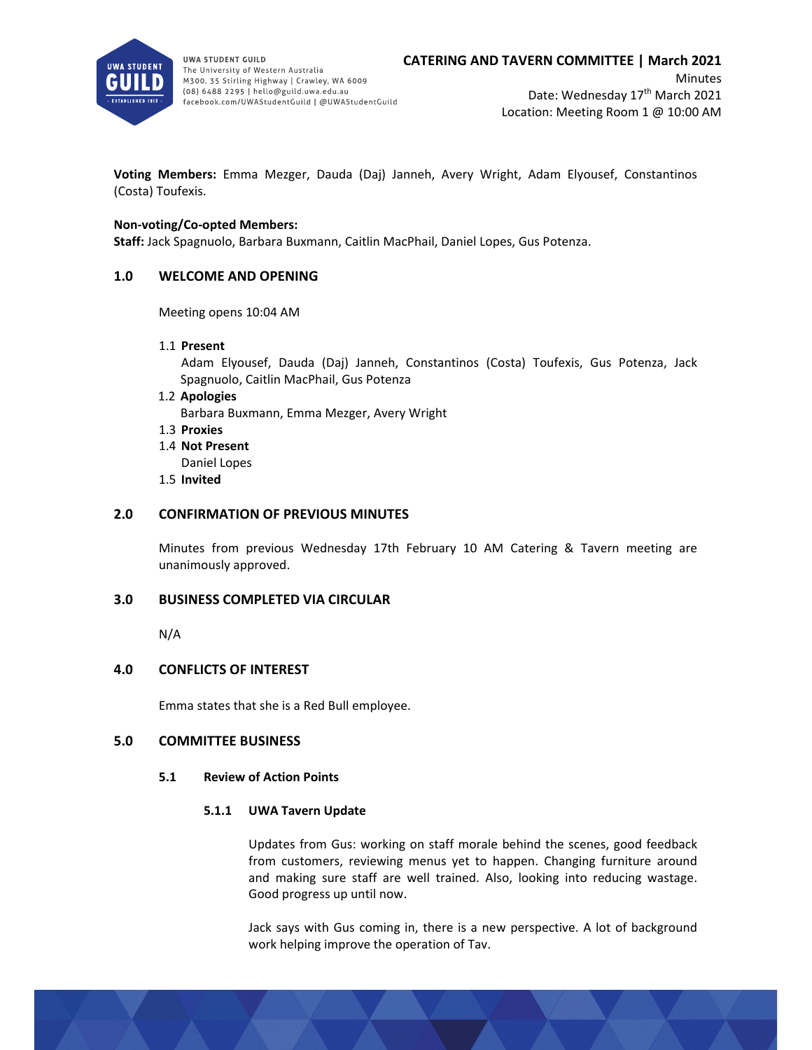

UWA STUDENT GUILD The University of Western Australia M300, 35 Stirling Highway | Crawley, WA 6009 (08) 6488 2295 | hello@guild.uwa.edu.au facebook.com/UWAStudentGuild | @UWAStudentGuild

**Voting Members:** Emma Mezger, Dauda (Daj) Janneh, Avery Wright, Adam Elyousef, Constantinos (Costa) Toufexis.

### **Non‐voting/Co‐opted Members:**

**Staff:** Jack Spagnuolo, Barbara Buxmann, Caitlin MacPhail, Daniel Lopes, Gus Potenza.

## **1.0 WELCOME AND OPENING**

Meeting opens 10:04 AM

1.1 **Present**

Adam Elyousef, Dauda (Daj) Janneh, Constantinos (Costa) Toufexis, Gus Potenza, Jack Spagnuolo, Caitlin MacPhail, Gus Potenza

1.2 **Apologies**

Barbara Buxmann, Emma Mezger, Avery Wright

- 1.3 **Proxies**
- 1.4 **Not Present**

Daniel Lopes

1.5 **Invited**

### **2.0 CONFIRMATION OF PREVIOUS MINUTES**

Minutes from previous Wednesday 17th February 10 AM Catering & Tavern meeting are unanimously approved.

## **3.0 BUSINESS COMPLETED VIA CIRCULAR**

N/A

## **4.0 CONFLICTS OF INTEREST**

Emma states that she is a Red Bull employee.

## **5.0 COMMITTEE BUSINESS**

#### **5.1 Review of Action Points**

#### **5.1.1 UWA Tavern Update**

Updates from Gus: working on staff morale behind the scenes, good feedback from customers, reviewing menus yet to happen. Changing furniture around and making sure staff are well trained. Also, looking into reducing wastage. Good progress up until now.

Jack says with Gus coming in, there is a new perspective. A lot of background work helping improve the operation of Tav.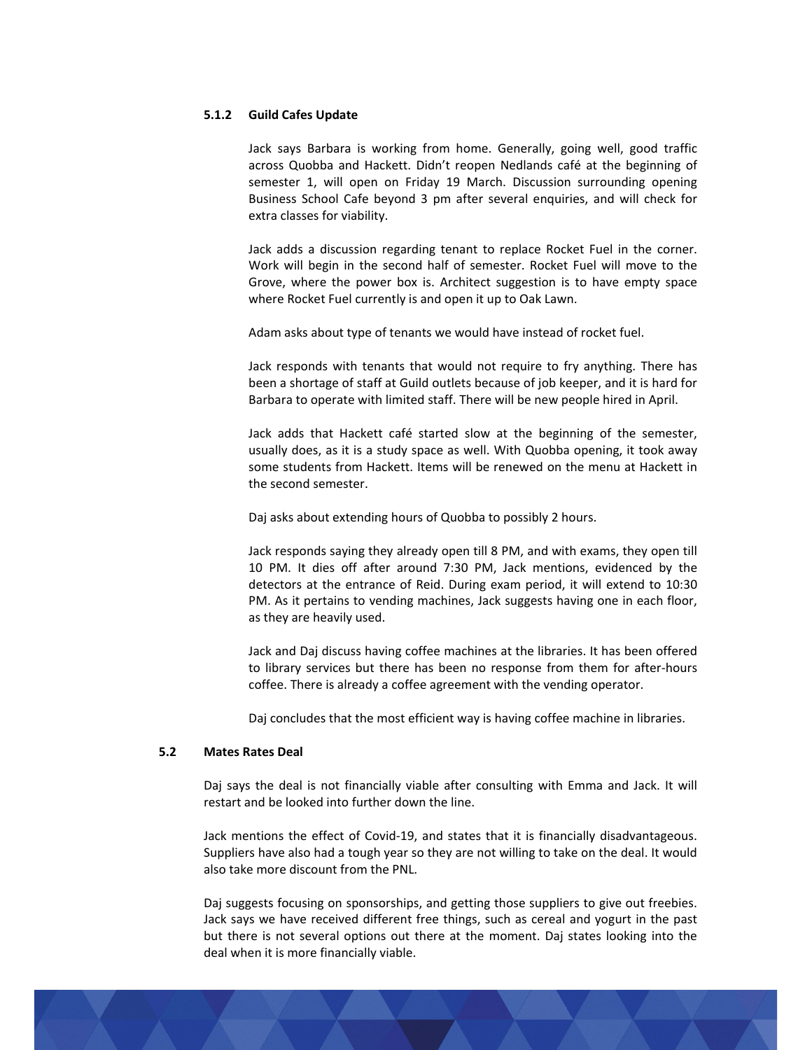#### **5.1.2 Guild Cafes Update**

Jack says Barbara is working from home. Generally, going well, good traffic across Quobba and Hackett. Didn't reopen Nedlands café at the beginning of semester 1, will open on Friday 19 March. Discussion surrounding opening Business School Cafe beyond 3 pm after several enquiries, and will check for extra classes for viability.

Jack adds a discussion regarding tenant to replace Rocket Fuel in the corner. Work will begin in the second half of semester. Rocket Fuel will move to the Grove, where the power box is. Architect suggestion is to have empty space where Rocket Fuel currently is and open it up to Oak Lawn.

Adam asks about type of tenants we would have instead of rocket fuel.

Jack responds with tenants that would not require to fry anything. There has been a shortage of staff at Guild outlets because of job keeper, and it is hard for Barbara to operate with limited staff. There will be new people hired in April.

Jack adds that Hackett café started slow at the beginning of the semester, usually does, as it is a study space as well. With Quobba opening, it took away some students from Hackett. Items will be renewed on the menu at Hackett in the second semester.

Daj asks about extending hours of Quobba to possibly 2 hours.

Jack responds saying they already open till 8 PM, and with exams, they open till 10 PM. It dies off after around 7:30 PM, Jack mentions, evidenced by the detectors at the entrance of Reid. During exam period, it will extend to 10:30 PM. As it pertains to vending machines, Jack suggests having one in each floor, as they are heavily used.

Jack and Daj discuss having coffee machines at the libraries. It has been offered to library services but there has been no response from them for after‐hours coffee. There is already a coffee agreement with the vending operator.

Daj concludes that the most efficient way is having coffee machine in libraries.

#### **5.2 Mates Rates Deal**

Daj says the deal is not financially viable after consulting with Emma and Jack. It will restart and be looked into further down the line.

Jack mentions the effect of Covid‐19, and states that it is financially disadvantageous. Suppliers have also had a tough year so they are not willing to take on the deal. It would also take more discount from the PNL.

Daj suggests focusing on sponsorships, and getting those suppliers to give out freebies. Jack says we have received different free things, such as cereal and yogurt in the past but there is not several options out there at the moment. Daj states looking into the deal when it is more financially viable.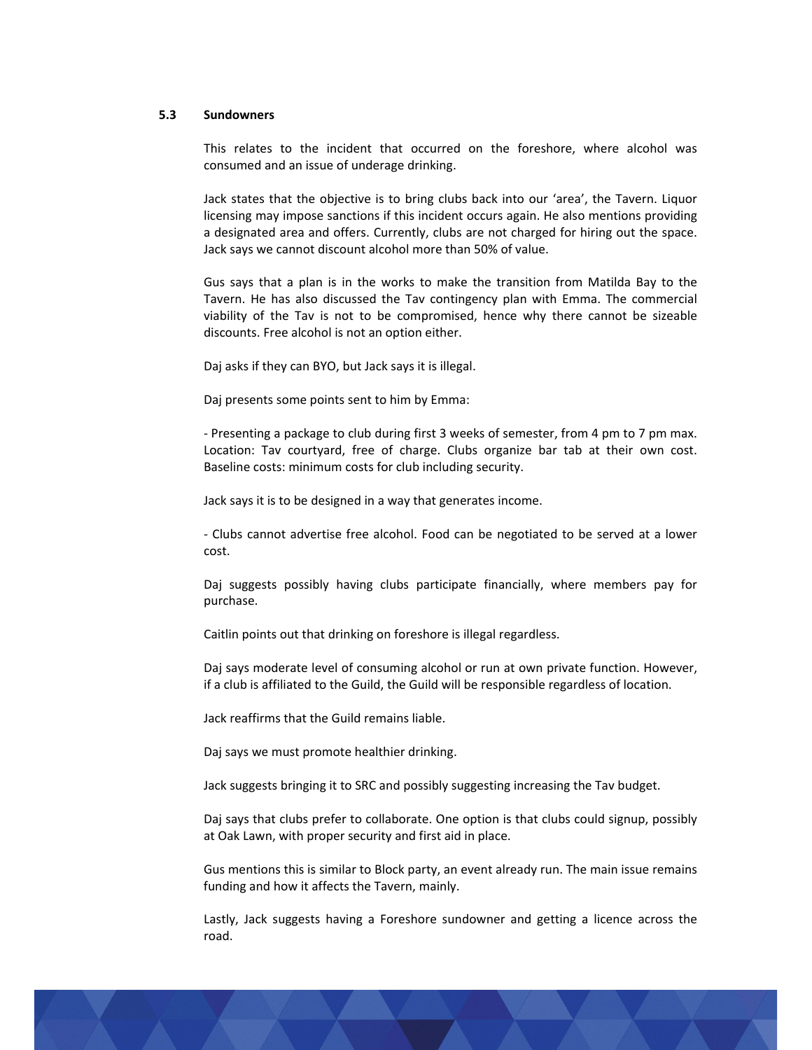#### **5.3 Sundowners**

This relates to the incident that occurred on the foreshore, where alcohol was consumed and an issue of underage drinking.

Jack states that the objective is to bring clubs back into our 'area', the Tavern. Liquor licensing may impose sanctions if this incident occurs again. He also mentions providing a designated area and offers. Currently, clubs are not charged for hiring out the space. Jack says we cannot discount alcohol more than 50% of value.

Gus says that a plan is in the works to make the transition from Matilda Bay to the Tavern. He has also discussed the Tav contingency plan with Emma. The commercial viability of the Tav is not to be compromised, hence why there cannot be sizeable discounts. Free alcohol is not an option either.

Daj asks if they can BYO, but Jack says it is illegal.

Daj presents some points sent to him by Emma:

‐ Presenting a package to club during first 3 weeks of semester, from 4 pm to 7 pm max. Location: Tav courtyard, free of charge. Clubs organize bar tab at their own cost. Baseline costs: minimum costs for club including security.

Jack says it is to be designed in a way that generates income.

‐ Clubs cannot advertise free alcohol. Food can be negotiated to be served at a lower cost.

Daj suggests possibly having clubs participate financially, where members pay for purchase.

Caitlin points out that drinking on foreshore is illegal regardless.

Daj says moderate level of consuming alcohol or run at own private function. However, if a club is affiliated to the Guild, the Guild will be responsible regardless of location.

Jack reaffirms that the Guild remains liable.

Daj says we must promote healthier drinking.

Jack suggests bringing it to SRC and possibly suggesting increasing the Tav budget.

Daj says that clubs prefer to collaborate. One option is that clubs could signup, possibly at Oak Lawn, with proper security and first aid in place.

Gus mentions this is similar to Block party, an event already run. The main issue remains funding and how it affects the Tavern, mainly.

Lastly, Jack suggests having a Foreshore sundowner and getting a licence across the road.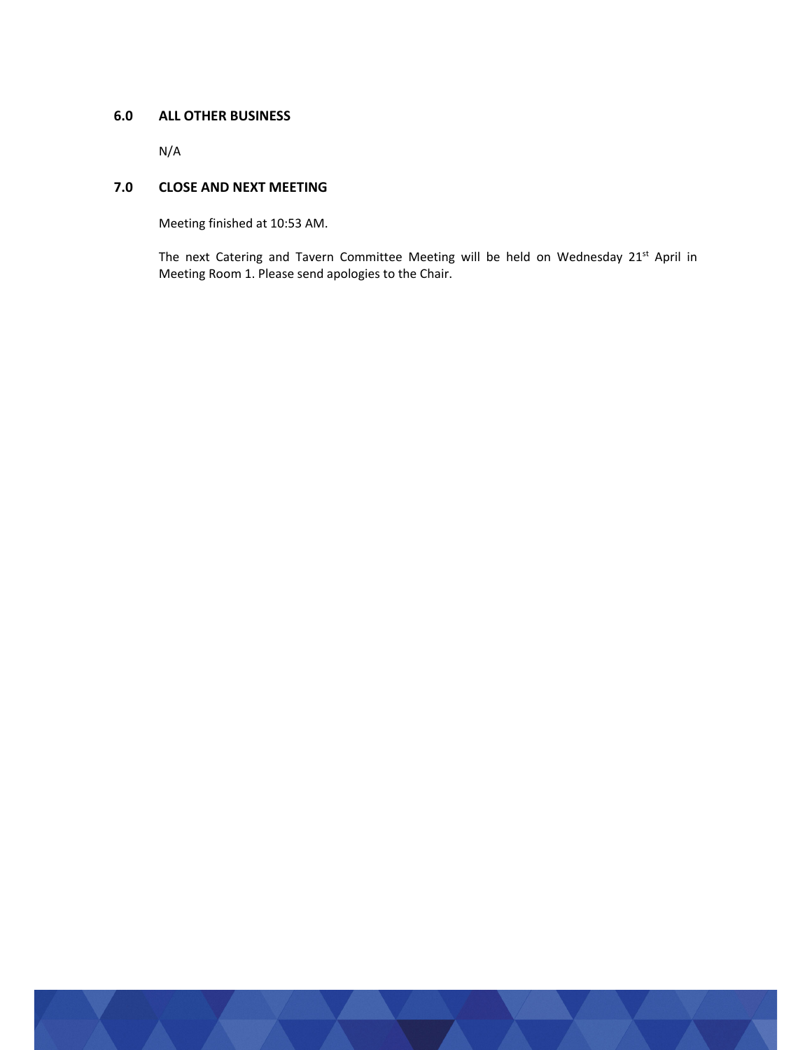# **6.0 ALL OTHER BUSINESS**

N/A

# **7.0 CLOSE AND NEXT MEETING**

Meeting finished at 10:53 AM.

The next Catering and Tavern Committee Meeting will be held on Wednesday 21<sup>st</sup> April in Meeting Room 1. Please send apologies to the Chair.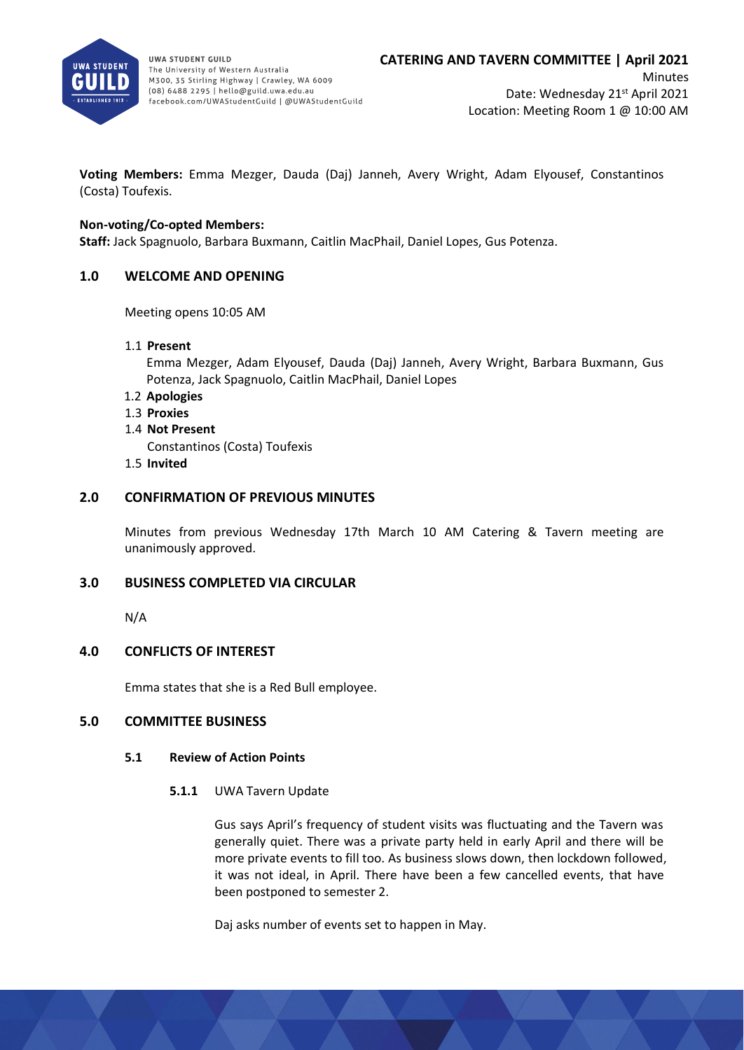

**UWA STUDENT GUILD** The University of Western Australia M300, 35 Stirling Highway | Crawley, WA 6009 (08) 6488 2295 | hello@guild.uwa.edu.au facebook.com/UWAStudentGuild | @UWAStudentGuild

**Voting Members:** Emma Mezger, Dauda (Daj) Janneh, Avery Wright, Adam Elyousef, Constantinos (Costa) Toufexis.

# **Non-voting/Co-opted Members:**

**Staff:** Jack Spagnuolo, Barbara Buxmann, Caitlin MacPhail, Daniel Lopes, Gus Potenza.

# **1.0 WELCOME AND OPENING**

Meeting opens 10:05 AM

1.1 **Present**

Emma Mezger, Adam Elyousef, Dauda (Daj) Janneh, Avery Wright, Barbara Buxmann, Gus Potenza, Jack Spagnuolo, Caitlin MacPhail, Daniel Lopes

- 1.2 **Apologies**
- 1.3 **Proxies**
- 1.4 **Not Present**
	- Constantinos (Costa) Toufexis
- 1.5 **Invited**

# **2.0 CONFIRMATION OF PREVIOUS MINUTES**

Minutes from previous Wednesday 17th March 10 AM Catering & Tavern meeting are unanimously approved.

## **3.0 BUSINESS COMPLETED VIA CIRCULAR**

N/A

## **4.0 CONFLICTS OF INTEREST**

Emma states that she is a Red Bull employee.

## **5.0 COMMITTEE BUSINESS**

## **5.1 Review of Action Points**

## **5.1.1** UWA Tavern Update

Gus says April's frequency of student visits was fluctuating and the Tavern was generally quiet. There was a private party held in early April and there will be more private events to fill too. As business slows down, then lockdown followed, it was not ideal, in April. There have been a few cancelled events, that have been postponed to semester 2.

Daj asks number of events set to happen in May.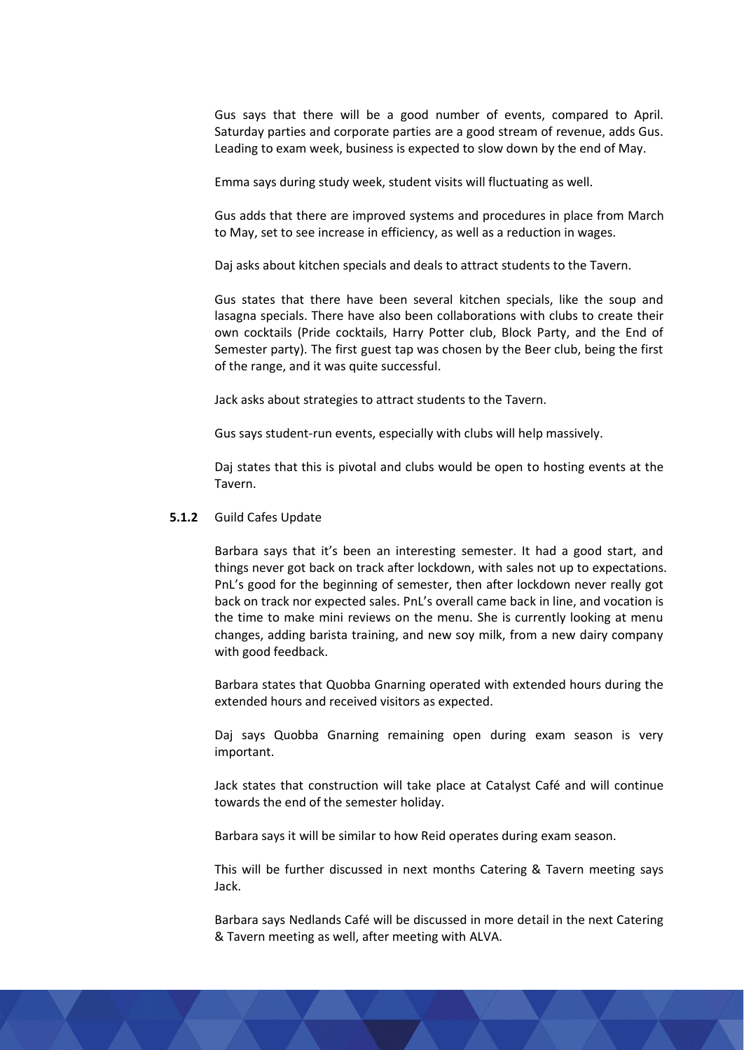Gus says that there will be a good number of events, compared to April. Saturday parties and corporate parties are a good stream of revenue, adds Gus. Leading to exam week, business is expected to slow down by the end of May.

Emma says during study week, student visits will fluctuating as well.

Gus adds that there are improved systems and procedures in place from March to May, set to see increase in efficiency, as well as a reduction in wages.

Daj asks about kitchen specials and deals to attract students to the Tavern.

Gus states that there have been several kitchen specials, like the soup and lasagna specials. There have also been collaborations with clubs to create their own cocktails (Pride cocktails, Harry Potter club, Block Party, and the End of Semester party). The first guest tap was chosen by the Beer club, being the first of the range, and it was quite successful.

Jack asks about strategies to attract students to the Tavern.

Gus says student-run events, especially with clubs will help massively.

Daj states that this is pivotal and clubs would be open to hosting events at the Tavern.

## **5.1.2** Guild Cafes Update

Barbara says that it's been an interesting semester. It had a good start, and things never got back on track after lockdown, with sales not up to expectations. PnL's good for the beginning of semester, then after lockdown never really got back on track nor expected sales. PnL's overall came back in line, and vocation is the time to make mini reviews on the menu. She is currently looking at menu changes, adding barista training, and new soy milk, from a new dairy company with good feedback.

Barbara states that Quobba Gnarning operated with extended hours during the extended hours and received visitors as expected.

Daj says Quobba Gnarning remaining open during exam season is very important.

Jack states that construction will take place at Catalyst Café and will continue towards the end of the semester holiday.

Barbara says it will be similar to how Reid operates during exam season.

This will be further discussed in next months Catering & Tavern meeting says Jack.

Barbara says Nedlands Café will be discussed in more detail in the next Catering & Tavern meeting as well, after meeting with ALVA.